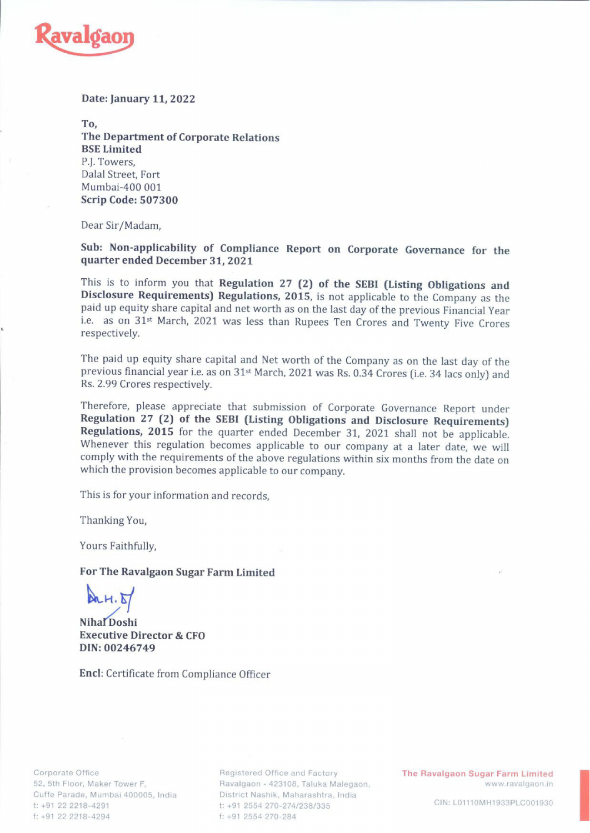

## Date: January 11, 2022

To, The Department of Corporate Relations BSE Limited P.J. Towers, Dalal Street, Fort Mumbai-400 001 Scrip Code: 507300

Dear Sir/Madam,

Sub: Non-applicability of Compliance Report on Corporate Governance for the quarter ended December 31, <sup>2021</sup>

This is to inform you that **Regulation 27 (2) of the SEBI (Listing Obligations and Disclosure Requirements) Regulations, 2015, is not applicable to the Company as the paid up equity share capital and net worth as on the l** 

The paid up equity share capital and Net worth of the Company as on the last day of the previous financial year i.e. as on 31st March, 2021 was Rs. 0.34 Crores (i.e. 34 lacs only) and Rs. 2.99 Crores respectively.

Therefore, please appreciate that submission of Corporate Governance Report under<br>**Regulation 27 (2) of the SEBI (Listing Obligations and Disclosure Requirements)**<br>**Regulations, 2015** for the quarter ended December 31, 202

This is for your information and records,

Thanking You,

Yours Faithfully,

## For The Ravalgaon Sugar Farm Limited

 $AnH.51$ 

Nihal Doshi Executive Director & CFO DIN: 00246749

Encl: Certificate from Compliance Officer

52, 5th Floor, Maker Tower F, Cuffe Parade, Mumbai 400005, India t: +91 22 2218-4291 f: +91 22 2218-4294 f: +91 2554 27

Ravalgaon - 423108, Taluka Malegaon, menyebabkan menyebabkan kalendar akan menyebabkan menganjakan menganjakan menganjakan menganjakan menganjakan menganjakan menganjakan menganjakan menganjakan menganjakan menganjakan men Registered Office and Factory<br>Ravalgaon - 423108, Taluka Malega<br>District Nashik, Maharashtra, India -274/238/335

Corporate Office **Registered Office and Factory The Ravalgaon Sugar Farm Limited**